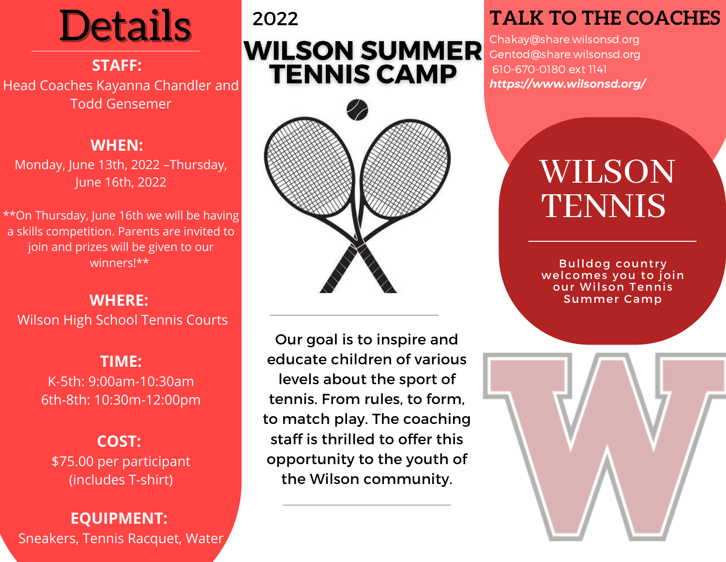Details

## **STAFF:**

Head Coaches Kayanna Chandler and Todd Gensemer

## **WHEN:**

Monday, June 13th, 2022 –Thursday, June 16th, 2022

\*\*On Thursday, June 16th we will be having a skills competition. Parents are invited to join and prizes will be given to our winners!\*\*

## **WHERE:** Wilson High School Tennis Courts

**TIME:** K-5th: 9:00am-10:30am 6th-8th: 10:30m-12:00pm

## **COST:**

\$75.00 per participant (includes T-shirt)

## **EQUIPMENT:** Sneakers, Tennis Racquet, Water

## 2022 **WILSON SUMMER TENNIS CAMP**



Our goal is to inspire and educate children of various levels about the sport of tennis. From rules, to form, to match play. The coaching staff is thrilled to offer this opportunity to the youth of the Wilson community.

## **TALK TO THE COACHES**

Chakay@share.wilsonsd.org Gentod@share.wilsonsd.org 610-670-0180 ext 1141 *https://www.wilsonsd.org/*

# WILSON **TENNIS**

**Bulldog country** welcomes you to join our Wilson Tennis Summer Camp